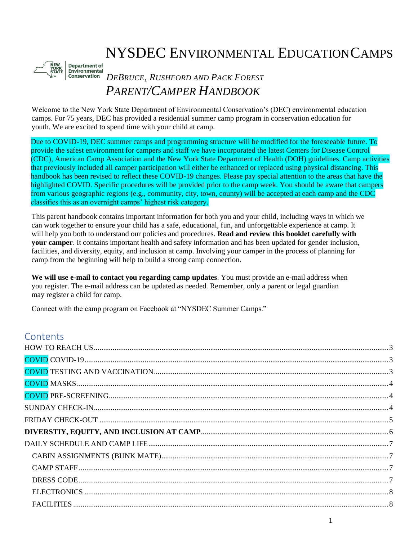# NYSDEC ENVIRONMENTAL EDUCATIONCAMPS



# *DEBRUCE, RUSHFORD AND PACK FOREST PARENT/CAMPER HANDBOOK*

Welcome to the New York State Department of Environmental Conservation's (DEC) environmental education camps. For 75 years, DEC has provided a residential summer camp program in conservation education for youth. We are excited to spend time with your child at camp.

Due to COVID-19, DEC summer camps and programming structure will be modified for the foreseeable future. To provide the safest environment for campers and staff we have incorporated the latest Centers for Disease Control (CDC), American Camp Association and the New York State Department of Health (DOH) guidelines. Camp activities that previously included all camper participation will either be enhanced or replaced using physical distancing. This handbook has been revised to reflect these COVID-19 changes. Please pay special attention to the areas that have the highlighted COVID. Specific procedures will be provided prior to the camp week. You should be aware that campers from various geographic regions (e.g., community, city, town, county) will be accepted at each camp and the CDC classifies this as an overnight camps' highest risk category.

This parent handbook contains important information for both you and your child, including ways in which we can work together to ensure your child has a safe, educational, fun, and unforgettable experience at camp. It will help you both to understand our policies and procedures. **Read and review this booklet carefully with your camper**. It contains important health and safety information and has been updated for gender inclusion, facilities, and diversity, equity, and inclusion at camp. Involving your camper in the process of planning for camp from the beginning will help to build a strong camp connection.

**We will use e-mail to contact you regarding camp updates**. You must provide an e-mail address when you register. The e-mail address can be updated as needed. Remember, only a parent or legal guardian may register a child for camp.

Connect with the camp program on Facebook at "NYSDEC Summer Camps."

### **Contents**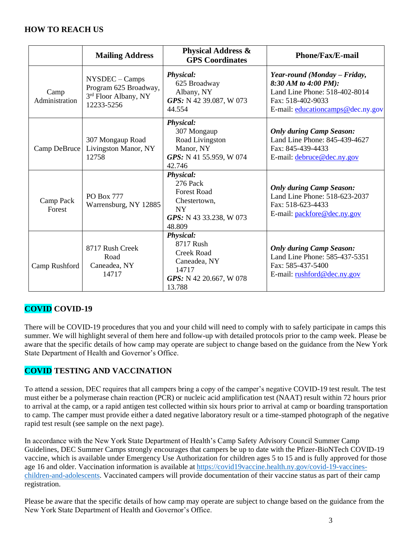#### <span id="page-2-0"></span>**HOW TO REACH US**

|                        | <b>Mailing Address</b>                                                        | <b>Physical Address &amp;</b><br><b>GPS</b> Coordinates                                                              | <b>Phone/Fax/E-mail</b>                                                                                                                         |
|------------------------|-------------------------------------------------------------------------------|----------------------------------------------------------------------------------------------------------------------|-------------------------------------------------------------------------------------------------------------------------------------------------|
| Camp<br>Administration | NYSDEC - Camps<br>Program 625 Broadway,<br>3rd Floor Albany, NY<br>12233-5256 | <b>Physical:</b><br>625 Broadway<br>Albany, NY<br>GPS: N 42 39.087, W 073<br>44.554                                  | Year-round (Monday - Friday,<br>8:30 AM to 4:00 PM):<br>Land Line Phone: 518-402-8014<br>Fax: 518-402-9033<br>E-mail: educationcamps@dec.ny.gov |
| Camp DeBruce           | 307 Mongaup Road<br>Livingston Manor, NY<br>12758                             | Physical:<br>307 Mongaup<br>Road Livingston<br>Manor, NY<br>GPS: N 41 55.959, W 074<br>42.746                        | <b>Only during Camp Season:</b><br>Land Line Phone: 845-439-4627<br>Fax: 845-439-4433<br>E-mail: debruce@dec.ny.gov                             |
| Camp Pack<br>Forest    | <b>PO Box 777</b><br>Warrensburg, NY 12885                                    | <b>Physical:</b><br>276 Pack<br><b>Forest Road</b><br>Chestertown,<br><b>NY</b><br>GPS: N 43 33.238, W 073<br>48.809 | <b>Only during Camp Season:</b><br>Land Line Phone: 518-623-2037<br>Fax: 518-623-4433<br>E-mail: packfore@dec.ny.gov                            |
| Camp Rushford          | 8717 Rush Creek<br>Road<br>Caneadea, NY<br>14717                              | <b>Physical:</b><br>8717 Rush<br><b>Creek Road</b><br>Caneadea, NY<br>14717<br>GPS: N 42 20.667, W 078<br>13.788     | <b>Only during Camp Season:</b><br>Land Line Phone: 585-437-5351<br>Fax: 585-437-5400<br>E-mail: rushford@dec.ny.gov                            |

### <span id="page-2-1"></span>**COVID COVID-19**

There will be COVID-19 procedures that you and your child will need to comply with to safely participate in camps this summer. We will highlight several of them here and follow-up with detailed protocols prior to the camp week. Please be aware that the specific details of how camp may operate are subject to change based on the guidance from the New York State Department of Health and Governor's Office.

### <span id="page-2-2"></span>**COVID TESTING AND VACCINATION**

To attend a session, DEC requires that all campers bring a copy of the camper's negative COVID-19 test result. The test must either be a polymerase chain reaction (PCR) or nucleic acid amplification test (NAAT) result within 72 hours prior to arrival at the camp, or a rapid antigen test collected within six hours prior to arrival at camp or boarding transportation to camp. The camper must provide either a dated negative laboratory result or a time-stamped photograph of the negative rapid test result (see sample on the next page).

In accordance with the New York State Department of Health's Camp Safety Advisory Council Summer Camp Guidelines, DEC Summer Camps strongly encourages that campers be up to date with the Pfizer-BioNTech COVID-19 vaccine, which is available under Emergency Use Authorization for children ages 5 to 15 and is fully approved for those age 16 and older. Vaccination information is available at [https://covid19vaccine.health.ny.gov/covid-19-vaccines](https://covid19vaccine.health.ny.gov/covid-19-vaccines-children-and-adolescents)[children-and-adolescents.](https://covid19vaccine.health.ny.gov/covid-19-vaccines-children-and-adolescents) Vaccinated campers will provide documentation of their vaccine status as part of their camp registration.

Please be aware that the specific details of how camp may operate are subject to change based on the guidance from the New York State Department of Health and Governor's Office.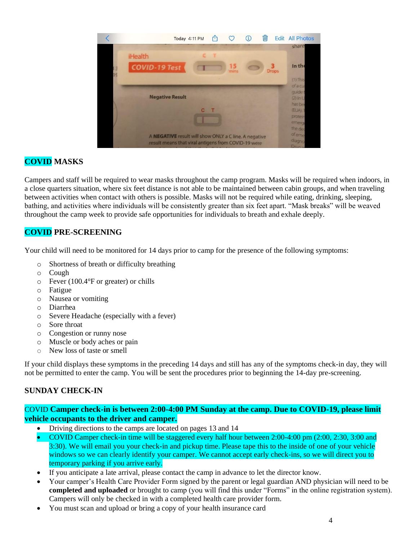|    |                                                                                                              | Today 4:11 PM | m | ♡          | ⊕ | 偂 | Edit         | <b>All Photos</b>                                         |
|----|--------------------------------------------------------------------------------------------------------------|---------------|---|------------|---|---|--------------|-----------------------------------------------------------|
| 19 | <b>iHealth</b><br><b>COVID-19 Test</b>                                                                       |               |   | 15<br>mins |   |   | <b>Drops</b> | share<br>In the<br>$(1)$ This                             |
|    | <b>Negative Result</b>                                                                                       | $\mathbf{c}$  |   |            |   |   |              | ofacu<br>guide t<br>$(2)$ In U<br>has be<br>(EUA).7       |
|    | A NEGATIVE result will show ONLY a C line. A negative<br>result means that viral antigens from COVID-19 were |               |   |            |   |   |              | protein<br>emergi<br>the dec<br>of eme<br>diagno<br>Druga |

### <span id="page-3-0"></span>**COVID MASKS**

Campers and staff will be required to wear masks throughout the camp program. Masks will be required when indoors, in a close quarters situation, where six feet distance is not able to be maintained between cabin groups, and when traveling between activities when contact with others is possible. Masks will not be required while eating, drinking, sleeping, bathing, and activities where individuals will be consistently greater than six feet apart. "Mask breaks" will be weaved throughout the camp week to provide safe opportunities for individuals to breath and exhale deeply.

### <span id="page-3-1"></span>**COVID PRE-SCREENING**

Your child will need to be monitored for 14 days prior to camp for the presence of the following symptoms:

- o Shortness of breath or difficulty breathing
- o Cough
- o Fever (100.4°F or greater) or chills
- o Fatigue
- o Nausea or vomiting
- o Diarrhea
- o Severe Headache (especially with a fever)
- o Sore throat
- o Congestion or runny nose
- o Muscle or body aches or pain
- o New loss of taste or smell

If your child displays these symptoms in the preceding 14 days and still has any of the symptoms check-in day, they will not be permitted to enter the camp. You will be sent the procedures prior to beginning the 14-day pre-screening.

#### <span id="page-3-2"></span>**SUNDAY CHECK-IN**

#### COVID **Camper check-in is between 2:00-4:00 PM Sunday at the camp. Due to COVID-19, please limit vehicle occupants to the driver and camper.**

- Driving directions to the camps are located on pages 13 and 14
- COVID Camper check-in time will be staggered every half hour between 2:00-4:00 pm (2:00, 2:30, 3:00 and 3:30). We will email you your check-in and pickup time. Please tape this to the inside of one of your vehicle windows so we can clearly identify your camper. We cannot accept early check-ins, so we will direct you to temporary parking if you arrive early.
- If you anticipate a late arrival, please contact the camp in advance to let the director know.
- Your camper's Health Care Provider Form signed by the parent or legal guardian AND physician will need to be **completed and uploaded** or brought to camp (you will find this under "Forms" in the online registration system). Campers will only be checked in with a completed health care provider form.
- You must scan and upload or bring a copy of your health insurance card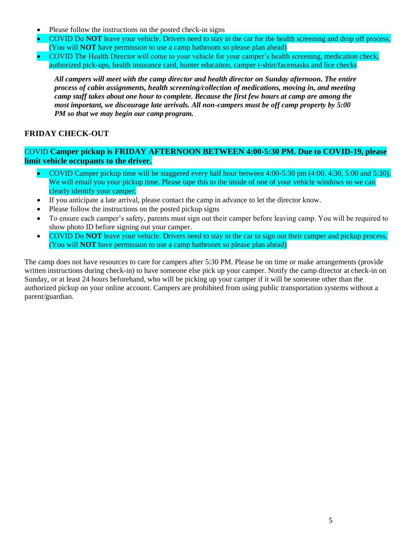- Please follow the instructions on the posted check-in signs
- COVID Do **NOT** leave your vehicle. Drivers need to stay in the car for the health screening and drop off process. (You will **NOT** have permission to use a camp bathroom so please plan ahead)
- COVID The Health Director will come to your vehicle for your camper's health screening, medication check, authorized pick-ups, health insurance card, hunter education, camper t-shirt/facemasks and lice checks

*All campers will meet with the camp director and health director on Sunday afternoon. The entire process of cabin assignments, health screening/collection of medications, moving in, and meeting camp staff takes about one hour to complete. Because the first few hours at camp are among the most important, we discourage late arrivals. All non-campers must be off camp property by 5:00 PM so that we may begin our camp program.*

#### <span id="page-4-0"></span>**FRIDAY CHECK-OUT**

#### COVID **Camper pickup is FRIDAY AFTERNOON BETWEEN 4:00-5:30 PM. Due to COVID-19, please limit vehicle occupants to the driver.**

- COVID Camper pickup time will be staggered every half hour between 4:00-5:30 pm (4:00, 4:30, 5:00 and 5:30). We will email you your pickup time. Please tape this to the inside of one of your vehicle windows so we can clearly identify your camper.
- If you anticipate a late arrival, please contact the camp in advance to let the director know.
- Please follow the instructions on the posted pickup signs
- To ensure each camper's safety, parents must sign out their camper before leaving camp. You will be required to show photo ID before signing out your camper.
- COVID Do **NOT** leave your vehicle. Drivers need to stay in the car to sign out their camper and pickup process. (You will **NOT** have permission to use a camp bathroom so please plan ahead)

The camp does not have resources to care for campers after 5:30 PM. Please be on time or make arrangements (provide written instructions during check-in) to have someone else pick up your camper. Notify the camp director at check-in on Sunday, or at least 24 hours beforehand, who will be picking up your camper if it will be someone other than the authorized pickup on your online account. Campers are prohibited from using public transportation systems without a parent/guardian.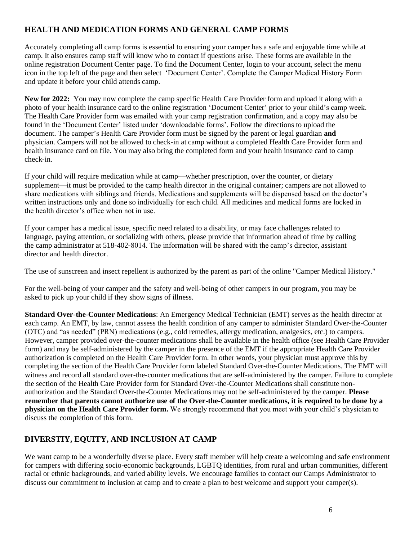#### **HEALTH AND MEDICATION FORMS AND GENERAL CAMP FORMS**

Accurately completing all camp forms is essential to ensuring your camper has a safe and enjoyable time while at camp. It also ensures camp staff will know who to contact if questions arise. These forms are available in the online registration Document Center page. To find the Document Center, [login to your account, select the menu](https://www.ultracamp.com/clientlogin.aspx?idCamp=405&campCode=dec)  [icon in the top left of the page](https://www.ultracamp.com/clientlogin.aspx?idCamp=405&campCode=dec) and then select 'Document Center'. Complete the Camper Medical History Form and update it before your child attends camp.

**New for 2022:** You may now complete the camp specific Health Care Provider form and upload it along with a photo of your health insurance card to the online registration 'Document Center' prior to your child's camp week. The Health Care Provider form was emailed with your camp registration confirmation, and a copy may also be found in the 'Document Center' listed under 'downloadable forms'. Follow the directions to upload the document. The camper's Health Care Provider form must be signed by the parent or legal guardian **and** physician. Campers will not be allowed to check-in at camp without a completed Health Care Provider form and health insurance card on file. You may also bring the completed form and your health insurance card to camp check-in.

If your child will require medication while at camp—whether prescription, over the counter, or dietary supplement—it must be provided to the camp health director in the original container; campers are not allowed to share medications with siblings and friends. Medications and supplements will be dispensed based on the doctor's written instructions only and done so individually for each child. All medicines and medical forms are locked in the health director's office when not in use.

If your camper has a medical issue, specific need related to a disability, or may face challenges related to language, paying attention, or socializing with others, please provide that information ahead of time by calling the camp administrator at 518-402-8014. The information will be shared with the camp's director, assistant director and health director.

The use of sunscreen and insect repellent is authorized by the parent as part of the online "Camper Medical History."

For the well-being of your camper and the safety and well-being of other campers in our program, you may be asked to pick up your child if they show signs of illness.

**Standard Over-the-Counter Medications**: An Emergency Medical Technician (EMT) serves as the health director at each camp. An EMT, by law, cannot assess the health condition of any camper to administer Standard Over-the-Counter (OTC) and "as needed" (PRN) medications (e.g., cold remedies, allergy medication, analgesics, etc.) to campers. However, camper provided over-the-counter medications shall be available in the health office (see Health Care Provider form) and may be self-administered by the camper in the presence of the EMT if the appropriate Health Care Provider authorization is completed on the Health Care Provider form. In other words, your physician must approve this by completing the section of the Health Care Provider form labeled Standard Over-the-Counter Medications. The EMT will witness and record all standard over-the-counter medications that are self-administered by the camper. Failure to complete the section of the Health Care Provider form for Standard Over-the-Counter Medications shall constitute nonauthorization and the Standard Over-the-Counter Medications may not be self-administered by the camper. **Please remember that parents cannot authorize use of the Over-the-Counter medications, it is required to be done by a physician on the Health Care Provider form.** We strongly recommend that you meet with your child's physician to discuss the completion of this form.

#### <span id="page-5-0"></span>**DIVERSTIY, EQUITY, AND INCLUSION AT CAMP**

We want camp to be a wonderfully diverse place. Every staff member will help create a welcoming and safe environment for campers with differing socio-economic backgrounds, LGBTQ identities, from rural and urban communities, different racial or ethnic backgrounds, and varied ability levels. We encourage families to contact our Camps Administrator to discuss our commitment to inclusion at camp and to create a plan to best welcome and support your camper(s).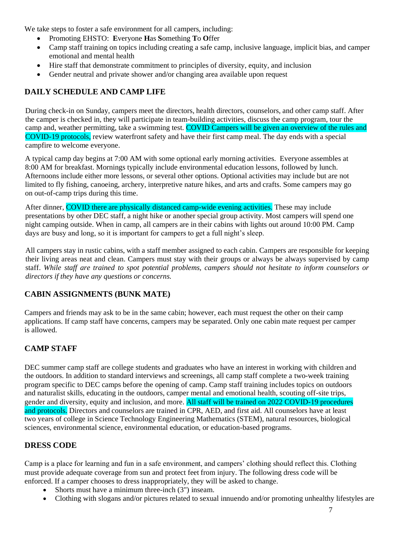We take steps to foster a safe environment for all campers, including:

- Promoting EHSTO: **E**veryone **H**as **S**omething **T**o **O**ffer
- Camp staff training on topics including creating a safe camp, inclusive language, implicit bias, and camper emotional and mental health
- Hire staff that demonstrate commitment to principles of diversity, equity, and inclusion
- Gender neutral and private shower and/or changing area available upon request

#### <span id="page-6-0"></span>**DAILY SCHEDULE AND CAMP LIFE**

During check-in on Sunday, campers meet the directors, health directors, counselors, and other camp staff. After the camper is checked in, they will participate in team-building activities, discuss the camp program, tour the camp and, weather permitting, take a swimming test. COVID Campers will be given an overview of the rules and COVID-19 protocols, review waterfront safety and have their first camp meal. The day ends with a special campfire to welcome everyone.

A typical camp day begins at 7:00 AM with some optional early morning activities. Everyone assembles at 8:00 AM for breakfast. Mornings typically include environmental education lessons, followed by lunch. Afternoons include either more lessons, or several other options. Optional activities may include but are not limited to fly fishing, canoeing, archery, interpretive nature hikes, and arts and crafts. Some campers may go on out-of-camp trips during this time.

After dinner, COVID there are physically distanced camp-wide evening activities. These may include presentations by other DEC staff, a night hike or another special group activity. Most campers will spend one night camping outside. When in camp, all campers are in their cabins with lights out around 10:00 PM. Camp days are busy and long, so it is important for campers to get a full night's sleep.

All campers stay in rustic cabins, with a staff member assigned to each cabin. Campers are responsible for keeping their living areas neat and clean. Campers must stay with their groups or always be always supervised by camp staff. *While staff are trained to spot potential problems, campers should not hesitate to inform counselors or directors if they have any questions or concerns.*

#### <span id="page-6-1"></span>**CABIN ASSIGNMENTS (BUNK MATE)**

Campers and friends may ask to be in the same cabin; however, each must request the other on their camp applications. If camp staff have concerns, campers may be separated. Only one cabin mate request per camper is allowed.

### <span id="page-6-2"></span>**CAMP STAFF**

DEC summer camp staff are college students and graduates who have an interest in working with children and the outdoors. In addition to standard interviews and screenings, all camp staff complete a two-week training program specific to DEC camps before the opening of camp. Camp staff training includes topics on outdoors and naturalist skills, educating in the outdoors, camper mental and emotional health, scouting off-site trips, gender and diversity, equity and inclusion, and more. All staff will be trained on 2022 COVID-19 procedures and protocols. Directors and counselors are trained in CPR, AED, and first aid. All counselors have at least two years of college in Science Technology Engineering Mathematics (STEM), natural resources, biological sciences, environmental science, environmental education, or education-based programs.

#### <span id="page-6-3"></span>**DRESS CODE**

Camp is a place for learning and fun in a safe environment, and campers' clothing should reflect this. Clothing must provide adequate coverage from sun and protect feet from injury. The following dress code will be enforced. If a camper chooses to dress inappropriately, they will be asked to change.

- Shorts must have a minimum three-inch  $(3")$  inseam.
- Clothing with slogans and/or pictures related to sexual innuendo and/or promoting unhealthy lifestyles are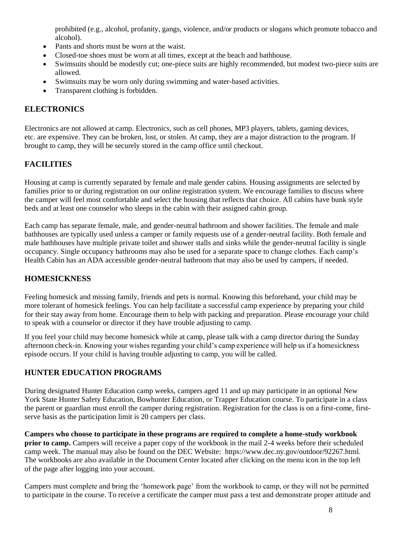prohibited (e.g., alcohol, profanity, gangs, violence, and/or products or slogans which promote tobacco and alcohol).

- Pants and shorts must be worn at the waist.
- Closed-toe shoes must be worn at all times, except at the beach and bathhouse.
- Swimsuits should be modestly cut; one-piece suits are highly recommended, but modest two-piece suits are allowed.
- Swimsuits may be worn only during swimming and water-based activities.
- Transparent clothing is forbidden.

#### <span id="page-7-0"></span>**ELECTRONICS**

Electronics are not allowed at camp. Electronics, such as cell phones, MP3 players, tablets, gaming devices, etc. are expensive. They can be broken, lost, or stolen. At camp, they are a major distraction to the program. If brought to camp, they will be securely stored in the camp office until checkout.

#### <span id="page-7-1"></span>**FACILITIES**

Housing at camp is currently separated by female and male gender cabins. Housing assignments are selected by families prior to or during registration on our online registration system. We encourage families to discuss where the camper will feel most comfortable and select the housing that reflects that choice. All cabins have bunk style beds and at least one counselor who sleeps in the cabin with their assigned cabin group.

Each camp has separate female, male, and gender-neutral bathroom and shower facilities. The female and male bathhouses are typically used unless a camper or family requests use of a gender-neutral facility. Both female and male bathhouses have multiple private toilet and shower stalls and sinks while the gender-neutral facility is single occupancy. Single occupancy bathrooms may also be used for a separate space to change clothes. Each camp's Health Cabin has an ADA accessible gender-neutral bathroom that may also be used by campers, if needed.

#### <span id="page-7-2"></span>**HOMESICKNESS**

Feeling homesick and missing family, friends and pets is normal. Knowing this beforehand, your child may be more tolerant of homesick feelings. You can help facilitate a successful camp experience by preparing your child for their stay away from home. Encourage them to help with packing and preparation. Please encourage your child to speak with a counselor or director if they have trouble adjusting to camp.

If you feel your child may become homesick while at camp, please talk with a camp director during the Sunday afternoon check-in. Knowing your wishes regarding your child's camp experience will help us if a homesickness episode occurs. If your child is having trouble adjusting to camp, you will be called.

#### <span id="page-7-3"></span>**HUNTER EDUCATION PROGRAMS**

During designated Hunter Education camp weeks, campers aged 11 and up may participate in an optional New York State Hunter Safety Education, Bowhunter Education, or Trapper Education course. To participate in a class the parent or guardian must enroll the camper during registration. Registration for the class is on a first-come, firstserve basis as the participation limit is 20 campers per class.

**Campers who choose to participate in these programs are required to complete a home-study workbook prior to camp.** Campers will receive a paper copy of the workbook in the mail 2-4 weeks before their scheduled camp week. The manual may also be found on the DEC Website: https://www.dec.ny.gov/outdoor/92267.html. The workbooks are also available in the Document Center located after clicking on the menu icon in the top left of the page after logging into your account.

Campers must complete and bring the 'homework page' from the workbook to camp, or they will not be permitted to participate in the course. To receive a certificate the camper must pass a test and demonstrate proper attitude and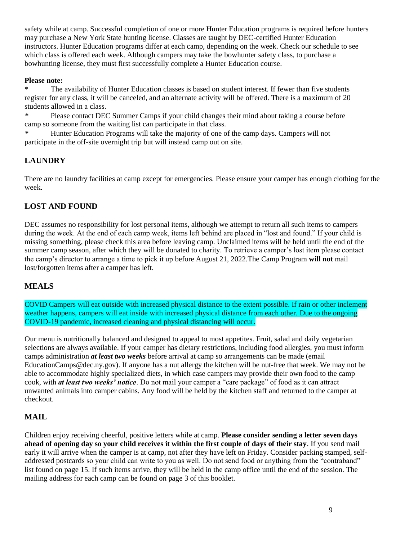safety while at camp. Successful completion of one or more Hunter Education programs is required before hunters may purchase a New York State hunting license. Classes are taught by DEC-certified Hunter Education instructors. Hunter Education programs differ at each camp, depending on the week. Check our schedule to see which class is offered each week. Although campers may take the bowhunter safety class, to purchase a bowhunting license, they must first successfully complete a Hunter Education course.

#### **Please note:**

**\*** The availability of Hunter Education classes is based on student interest. If fewer than five students register for any class, it will be canceled, and an alternate activity will be offered. There is a maximum of 20 students allowed in a class.

**\*** Please contact DEC Summer Camps if your child changes their mind about taking a course before camp so someone from the waiting list can participate in that class.

**\*** Hunter Education Programs will take the majority of one of the camp days. Campers will not participate in the off-site overnight trip but will instead camp out on site.

#### <span id="page-8-0"></span>**LAUNDRY**

There are no laundry facilities at camp except for emergencies. Please ensure your camper has enough clothing for the week.

#### <span id="page-8-1"></span>**LOST AND FOUND**

DEC assumes no responsibility for lost personal items, although we attempt to return all such items to campers during the week. At the end of each camp week, items left behind are placed in "lost and found." If your child is missing something, please check this area before leaving camp. Unclaimed items will be held until the end of the summer camp season, after which they will be donated to charity. To retrieve a camper's lost item please contact the camp's director to arrange a time to pick it up before August 21, 2022.The Camp Program **will not** mail lost/forgotten items after a camper has left.

#### <span id="page-8-2"></span>**MEALS**

COVID Campers will eat outside with increased physical distance to the extent possible. If rain or other inclement weather happens, campers will eat inside with increased physical distance from each other. Due to the ongoing COVID-19 pandemic, increased cleaning and physical distancing will occur.

Our menu is nutritionally balanced and designed to appeal to most appetites. Fruit, salad and daily vegetarian selections are always available. If your camper has dietary restrictions, including food allergies, you must inform camps administration *at least two weeks* before arrival at camp so arrangements can be made (email EducationCamps@dec.ny.gov). If anyone has a nut allergy the kitchen will be nut-free that week. We may not be able to accommodate highly specialized diets, in which case campers may provide their own food to the camp cook, with *at least two weeks' notice*. Do not mail your camper a "care package" of food as it can attract unwanted animals into camper cabins. Any food will be held by the kitchen staff and returned to the camper at checkout.

#### <span id="page-8-3"></span>**MAIL**

Children enjoy receiving cheerful, positive letters while at camp. **Please consider sending a letter seven days ahead of opening day so your child receives it within the first couple of days of their stay**. If you send mail early it will arrive when the camper is at camp, not after they have left on Friday. Consider packing stamped, selfaddressed postcards so your child can write to you as well. Do not send food or anything from the "contraband" list found on page 15. If such items arrive, they will be held in the camp office until the end of the session. The mailing address for each camp can be found on page 3 of this booklet.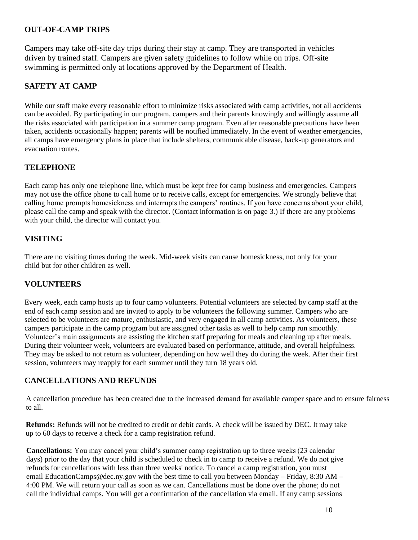#### <span id="page-9-0"></span>**OUT-OF-CAMP TRIPS**

Campers may take off-site day trips during their stay at camp. They are transported in vehicles driven by trained staff. Campers are given safety guidelines to follow while on trips. Off-site swimming is permitted only at locations approved by the Department of Health.

### <span id="page-9-1"></span>**SAFETY AT CAMP**

While our staff make every reasonable effort to minimize risks associated with camp activities, not all accidents can be avoided. By participating in our program, campers and their parents knowingly and willingly assume all the risks associated with participation in a summer camp program. Even after reasonable precautions have been taken, accidents occasionally happen; parents will be notified immediately. In the event of weather emergencies, all camps have emergency plans in place that include shelters, communicable disease, back-up generators and evacuation routes.

#### <span id="page-9-2"></span>**TELEPHONE**

Each camp has only one telephone line, which must be kept free for camp business and emergencies. Campers may not use the office phone to call home or to receive calls, except for emergencies. We strongly believe that calling home prompts homesickness and interrupts the campers' routines. If you have concerns about your child, please call the camp and speak with the director. (Contact information is on page 3.) If there are any problems with your child, the director will contact you.

#### <span id="page-9-3"></span>**VISITING**

There are no visiting times during the week. Mid-week visits can cause homesickness, not only for your child but for other children as well.

#### <span id="page-9-4"></span>**VOLUNTEERS**

Every week, each camp hosts up to four camp volunteers. Potential volunteers are selected by camp staff at the end of each camp session and are invited to apply to be volunteers the following summer. Campers who are selected to be volunteers are mature, enthusiastic, and very engaged in all camp activities. As volunteers, these campers participate in the camp program but are assigned other tasks as well to help camp run smoothly. Volunteer's main assignments are assisting the kitchen staff preparing for meals and cleaning up after meals. During their volunteer week, volunteers are evaluated based on performance, attitude, and overall helpfulness. They may be asked to not return as volunteer, depending on how well they do during the week. After their first session, volunteers may reapply for each summer until they turn 18 years old.

#### <span id="page-9-5"></span>**CANCELLATIONS AND REFUNDS**

A cancellation procedure has been created due to the increased demand for available camper space and to ensure fairness to all.

**Refunds:** Refunds will not be credited to credit or debit cards. A check will be issued by DEC. It may take up to 60 days to receive a check for a camp registration refund.

**Cancellations:** You may cancel your child's summer camp registration up to three weeks (23 calendar days) prior to the day that your child is scheduled to check in to camp to receive a refund. We do not give refunds for cancellations with less than three weeks' notice. To cancel a camp registration, you must email EducationCamps@dec.ny.gov with the best time to call you between Monday – Friday, 8:30 AM – 4:00 PM. We will return your call as soon as we can. Cancellations must be done over the phone; do not call the individual camps. You will get a confirmation of the cancellation via email. If any camp sessions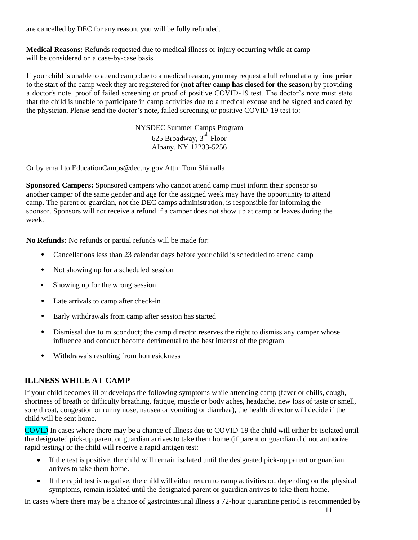are cancelled by DEC for any reason, you will be fully refunded.

**Medical Reasons:** Refunds requested due to medical illness or injury occurring while at camp will be considered on a case-by-case basis.

If your child is unable to attend camp due to a medical reason, you may request a full refund at any time **prior**  to the start of the camp week they are registered for (**not after camp has closed for the season**) by providing a doctor's note, proof of failed screening or proof of positive COVID-19 test. The doctor's note must state that the child is unable to participate in camp activities due to a medical excuse and be signed and dated by the physician. Please send the doctor's note, failed screening or positive COVID-19 test to:

> NYSDEC Summer Camps Program 625 Broadway,  $3^{\text{rd.}}$  Floor Albany, NY 12233-5256

Or by email to EducationCamps@dec.ny.gov Attn: Tom Shimalla

**Sponsored Campers:** Sponsored campers who cannot attend camp must inform their sponsor so another camper of the same gender and age for the assigned week may have the opportunity to attend camp. The parent or guardian, not the DEC camps administration, is responsible for informing the sponsor. Sponsors will not receive a refund if a camper does not show up at camp or leaves during the week.

**No Refunds:** No refunds or partial refunds will be made for:

- Cancellations less than 23 calendar days before your child is scheduled to attend camp
- Not showing up for a scheduled session
- Showing up for the wrong session
- Late arrivals to camp after check-in
- Early withdrawals from camp after session has started
- Dismissal due to misconduct; the camp director reserves the right to dismiss any camper whose influence and conduct become detrimental to the best interest of the program
- Withdrawals resulting from homesickness

#### <span id="page-10-0"></span>**ILLNESS WHILE AT CAMP**

If your child becomes ill or develops the following symptoms while attending camp (fever or chills, cough, shortness of breath or difficulty breathing, fatigue, muscle or body aches, headache, new loss of taste or smell, sore throat, congestion or runny nose, nausea or vomiting or diarrhea), the health director will decide if the child will be sent home.

COVID In cases where there may be a chance of illness due to COVID-19 the child will either be isolated until the designated pick-up parent or guardian arrives to take them home (if parent or guardian did not authorize rapid testing) or the child will receive a rapid antigen test:

- If the test is positive, the child will remain isolated until the designated pick-up parent or guardian arrives to take them home.
- If the rapid test is negative, the child will either return to camp activities or, depending on the physical symptoms, remain isolated until the designated parent or guardian arrives to take them home.

In cases where there may be a chance of gastrointestinal illness a 72-hour quarantine period is recommended by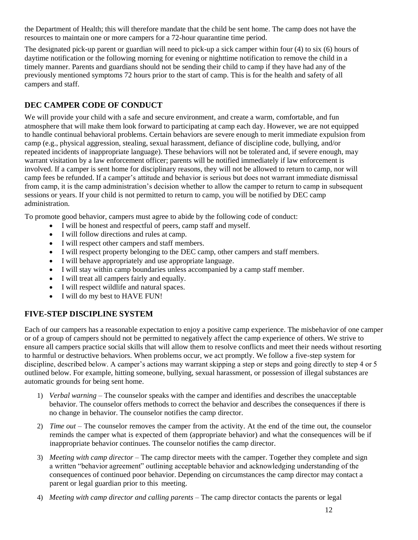the Department of Health; this will therefore mandate that the child be sent home. The camp does not have the resources to maintain one or more campers for a 72-hour quarantine time period.

The designated pick-up parent or guardian will need to pick-up a sick camper within four (4) to six (6) hours of daytime notification or the following morning for evening or nighttime notification to remove the child in a timely manner. Parents and guardians should not be sending their child to camp if they have had any of the previously mentioned symptoms 72 hours prior to the start of camp. This is for the health and safety of all campers and staff.

#### <span id="page-11-0"></span>**DEC CAMPER CODE OF CONDUCT**

We will provide your child with a safe and secure environment, and create a warm, comfortable, and fun atmosphere that will make them look forward to participating at camp each day. However, we are not equipped to handle continual behavioral problems. Certain behaviors are severe enough to merit immediate expulsion from camp (e.g., physical aggression, stealing, sexual harassment, defiance of discipline code, bullying, and/or repeated incidents of inappropriate language). These behaviors will not be tolerated and, if severe enough, may warrant visitation by a law enforcement officer; parents will be notified immediately if law enforcement is involved. If a camper is sent home for disciplinary reasons, they will not be allowed to return to camp, nor will camp fees be refunded. If a camper's attitude and behavior is serious but does not warrant immediate dismissal from camp, it is the camp administration's decision whether to allow the camper to return to camp in subsequent sessions or years. If your child is not permitted to return to camp, you will be notified by DEC camp administration.

To promote good behavior, campers must agree to abide by the following code of conduct:

- I will be honest and respectful of peers, camp staff and myself.
- I will follow directions and rules at camp.
- I will respect other campers and staff members.
- I will respect property belonging to the DEC camp, other campers and staff members.
- I will behave appropriately and use appropriate language.
- I will stay within camp boundaries unless accompanied by a camp staff member.
- I will treat all campers fairly and equally.
- I will respect wildlife and natural spaces.
- I will do my best to HAVE FUN!

#### <span id="page-11-1"></span>**FIVE-STEP DISCIPLINE SYSTEM**

Each of our campers has a reasonable expectation to enjoy a positive camp experience. The misbehavior of one camper or of a group of campers should not be permitted to negatively affect the camp experience of others. We strive to ensure all campers practice social skills that will allow them to resolve conflicts and meet their needs without resorting to harmful or destructive behaviors. When problems occur, we act promptly. We follow a five-step system for discipline, described below. A camper's actions may warrant skipping a step or steps and going directly to step 4 or 5 outlined below. For example, hitting someone, bullying, sexual harassment, or possession of illegal substances are automatic grounds for being sent home.

- 1) *Verbal warning*  The counselor speaks with the camper and identifies and describes the unacceptable behavior. The counselor offers methods to correct the behavior and describes the consequences if there is no change in behavior. The counselor notifies the camp director.
- 2) *Time out*  The counselor removes the camper from the activity. At the end of the time out, the counselor reminds the camper what is expected of them (appropriate behavior) and what the consequences will be if inappropriate behavior continues. The counselor notifies the camp director.
- 3) *Meeting with camp director*  The camp director meets with the camper. Together they complete and sign a written "behavior agreement" outlining acceptable behavior and acknowledging understanding of the consequences of continued poor behavior. Depending on circumstances the camp director may contact a parent or legal guardian prior to this meeting.
- 4) *Meeting with camp director and calling parents*  The camp director contacts the parents or legal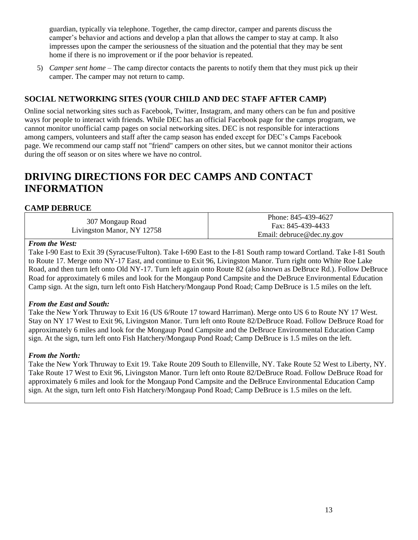guardian, typically via telephone. Together, the camp director, camper and parents discuss the camper's behavior and actions and develop a plan that allows the camper to stay at camp. It also impresses upon the camper the seriousness of the situation and the potential that they may be sent home if there is no improvement or if the poor behavior is repeated.

5) *Camper sent home* – The camp director contacts the parents to notify them that they must pick up their camper. The camper may not return to camp.

#### <span id="page-12-0"></span>**SOCIAL NETWORKING SITES (YOUR CHILD AND DEC STAFF AFTER CAMP)**

Online social networking sites such as Facebook, Twitter, Instagram, and many others can be fun and positive ways for people to interact with friends. While DEC has an official Facebook page for the camps program, we cannot monitor unofficial camp pages on social networking sites. DEC is not responsible for interactions among campers, volunteers and staff after the camp season has ended except for DEC's Camps Facebook page. We recommend our camp staff not "friend" campers on other sites, but we cannot monitor their actions during the off season or on sites where we have no control.

# <span id="page-12-1"></span>**DRIVING DIRECTIONS FOR DEC CAMPS AND CONTACT INFORMATION**

#### <span id="page-12-2"></span>**CAMP DEBRUCE**

307 Mongaup Road Livingston Manor, NY 12758

Phone: 845-439-4627 Fax: 845-439-4433 Email: debruce@dec.ny.gov

#### *From the West:*

Take I-90 East to Exit 39 (Syracuse/Fulton). Take I-690 East to the I-81 South ramp toward Cortland. Take I-81 South to Route 17. Merge onto NY-17 East, and continue to Exit 96, Livingston Manor. Turn right onto White Roe Lake Road, and then turn left onto Old NY-17. Turn left again onto Route 82 (also known as DeBruce Rd.). Follow DeBruce Road for approximately 6 miles and look for the Mongaup Pond Campsite and the DeBruce Environmental Education Camp sign. At the sign, turn left onto Fish Hatchery/Mongaup Pond Road; Camp DeBruce is 1.5 miles on the left.

#### *From the East and South:*

Take the New York Thruway to Exit 16 (US 6/Route 17 toward Harriman). Merge onto US 6 to Route NY 17 West. Stay on NY 17 West to Exit 96, Livingston Manor. Turn left onto Route 82/DeBruce Road. Follow DeBruce Road for approximately 6 miles and look for the Mongaup Pond Campsite and the DeBruce Environmental Education Camp sign. At the sign, turn left onto Fish Hatchery/Mongaup Pond Road; Camp DeBruce is 1.5 miles on the left.

#### *From the North:*

Take the New York Thruway to Exit 19. Take Route 209 South to Ellenville, NY. Take Route 52 West to Liberty, NY. Take Route 17 West to Exit 96, Livingston Manor. Turn left onto Route 82/DeBruce Road. Follow DeBruce Road for approximately 6 miles and look for the Mongaup Pond Campsite and the DeBruce Environmental Education Camp sign. At the sign, turn left onto Fish Hatchery/Mongaup Pond Road; Camp DeBruce is 1.5 miles on the left.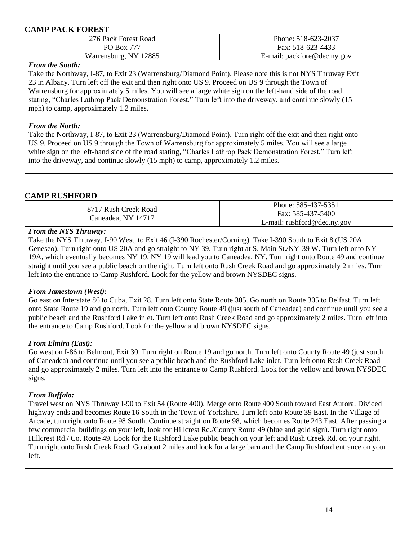#### <span id="page-13-0"></span>**CAMP PACK FOREST**

| 276 Pack Forest Road  | Phone: 518-623-2037         |
|-----------------------|-----------------------------|
| PO Box 777            | Fax: 518-623-4433           |
| Warrensburg, NY 12885 | E-mail: packfore@dec.ny.gov |
|                       |                             |

#### *From the South:*

Take the Northway, I-87, to Exit 23 (Warrensburg/Diamond Point). Please note this is not NYS Thruway Exit 23 in Albany. Turn left off the exit and then right onto US 9. Proceed on US 9 through the Town of Warrensburg for approximately 5 miles. You will see a large white sign on the left-hand side of the road stating, "Charles Lathrop Pack Demonstration Forest." Turn left into the driveway, and continue slowly (15 mph) to camp, approximately 1.2 miles.

#### *From the North:*

Take the Northway, I-87, to Exit 23 (Warrensburg/Diamond Point). Turn right off the exit and then right onto US 9. Proceed on US 9 through the Town of Warrensburg for approximately 5 miles. You will see a large white sign on the left-hand side of the road stating, "Charles Lathrop Pack Demonstration Forest." Turn left into the driveway, and continue slowly (15 mph) to camp, approximately 1.2 miles.

#### <span id="page-13-1"></span>**CAMP RUSHFORD**

| 8717 Rush Creek Road<br>Caneadea, NY 14717 | Phone: 585-437-5351                   |
|--------------------------------------------|---------------------------------------|
|                                            | Fax: 585-437-5400                     |
|                                            | E-mail: $\text{rushford@dec}$ .ny.gov |

#### *From the NYS Thruway:*

Take the NYS Thruway, I-90 West, to Exit 46 (I-390 Rochester/Corning). Take I-390 South to Exit 8 (US 20A Geneseo). Turn right onto US 20A and go straight to NY 39. Turn right at S. Main St./NY-39 W. Turn left onto NY 19A, which eventually becomes NY 19. NY 19 will lead you to Caneadea, NY. Turn right onto Route 49 and continue straight until you see a public beach on the right. Turn left onto Rush Creek Road and go approximately 2 miles. Turn left into the entrance to Camp Rushford. Look for the yellow and brown NYSDEC signs.

#### *From Jamestown (West):*

Go east on Interstate 86 to Cuba, Exit 28. Turn left onto State Route 305. Go north on Route 305 to Belfast. Turn left onto State Route 19 and go north. Turn left onto County Route 49 (just south of Caneadea) and continue until you see a public beach and the Rushford Lake inlet. Turn left onto Rush Creek Road and go approximately 2 miles. Turn left into the entrance to Camp Rushford. Look for the yellow and brown NYSDEC signs.

#### *From Elmira (East):*

Go west on I-86 to Belmont, Exit 30. Turn right on Route 19 and go north. Turn left onto County Route 49 (just south of Caneadea) and continue until you see a public beach and the Rushford Lake inlet. Turn left onto Rush Creek Road and go approximately 2 miles. Turn left into the entrance to Camp Rushford. Look for the yellow and brown NYSDEC signs.

#### *From Buffalo:*

Travel west on NYS Thruway I-90 to Exit 54 (Route 400). Merge onto Route 400 South toward East Aurora. Divided highway ends and becomes Route 16 South in the Town of Yorkshire. Turn left onto Route 39 East. In the Village of Arcade, turn right onto Route 98 South. Continue straight on Route 98, which becomes Route 243 East. After passing a few commercial buildings on your left, look for Hillcrest Rd./County Route 49 (blue and gold sign). Turn right onto Hillcrest Rd./ Co. Route 49. Look for the Rushford Lake public beach on your left and Rush Creek Rd. on your right. Turn right onto Rush Creek Road. Go about 2 miles and look for a large barn and the Camp Rushford entrance on your left.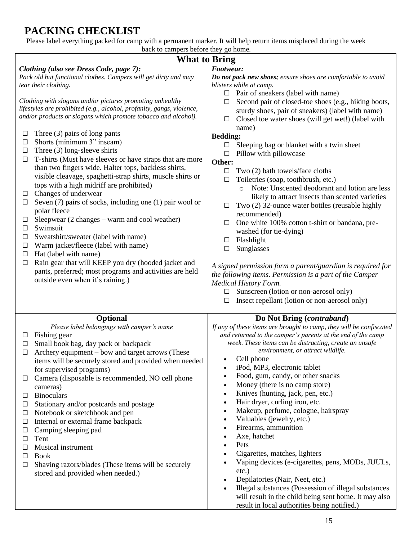# <span id="page-14-0"></span>**PACKING CHECKLIST**

Please label everything packed for camp with a permanent marker. It will help return items misplaced during the week back to campers before they go home.

## **What to Bring**

#### *Clothing (also see Dress Code, page 7):*

*Pack old but functional clothes. Campers will get dirty and may tear their clothing.*

*Clothing with slogans and/or pictures promoting unhealthy lifestyles are prohibited (e.g., alcohol, profanity, gangs, violence, and/or products or slogans which promote tobacco and alcohol).* 

- $\Box$  Three (3) pairs of long pants
- $\Box$  Shorts (minimum 3" inseam)
- $\Box$  Three (3) long-sleeve shirts
- $\Box$  T-shirts (Must have sleeves or have straps that are more than two fingers wide. Halter tops, backless shirts, visible cleavage, spaghetti-strap shirts, muscle shirts or tops with a high midriff are prohibited)
- $\Box$  Changes of underwear
- $\Box$  Seven (7) pairs of socks, including one (1) pair wool or polar fleece
- $\Box$  Sleepwear (2 changes warm and cool weather)
- $\square$  Swimsuit
- $\square$  Sweatshirt/sweater (label with name)
- $\Box$  Warm jacket/fleece (label with name)
- $\Box$  Hat (label with name)
- $\Box$  Rain gear that will KEEP you dry (hooded jacket and pants, preferred; most programs and activities are held outside even when it's raining.)

### *Footwear:*

*Do not pack new shoes; ensure shoes are comfortable to avoid blisters while at camp.*

- $\Box$  Pair of sneakers (label with name)
- $\Box$  Second pair of closed-toe shoes (e.g., hiking boots, sturdy shoes, pair of sneakers) (label with name)
- $\Box$  Closed toe water shoes (will get wet!) (label with name)

#### **Bedding:**

- $\Box$  Sleeping bag or blanket with a twin sheet
- $\Box$  Pillow with pillowcase
- **Other:**
	- $\Box$  Two (2) bath towels/face cloths
	- $\Box$  Toiletries (soap, toothbrush, etc.)
		- o Note: Unscented deodorant and lotion are less likely to attract insects than scented varieties
	- $\Box$  Two (2) 32-ounce water bottles (reusable highly recommended)
	- $\Box$  One white 100% cotton t-shirt or bandana, prewashed (for tie-dying)
	- □ Flashlight
	- $\square$  Sunglasses

*A signed permission form a parent/guardian is required for the following items. Permission is a part of the Camper Medical History Form.*

- $\square$  Sunscreen (lotion or non-aerosol only)
- $\Box$  Insect repellant (lotion or non-aerosol only)

#### **Do Not Bring (***contraband***)**

*If any of these items are brought to camp, they will be confiscated and returned to the camper's parents at the end of the camp week. These items can be distracting, create an unsafe environment, or attract wildlife.*

- Cell phone
- iPod, MP3, electronic tablet
- Food, gum, candy, or other snacks
- Money (there is no camp store)
- Knives (hunting, jack, pen, etc.)
- Hair dryer, curling iron, etc.
- Makeup, perfume, cologne, hairspray
- Valuables (jewelry, etc.)
- Firearms, ammunition
- Axe, hatchet
- Pets
- Cigarettes, matches, lighters
- Vaping devices (e-cigarettes, pens, MODs, JUULs, etc.)
- Depilatories (Nair, Neet, etc.)
- Illegal substances (Possession of illegal substances will result in the child being sent home. It may also result in local authorities being notified.)

## **Optional**

*Please label belongings with camper's name*

- $\Box$  Fishing gear
- $\Box$  Small book bag, day pack or backpack
- $\Box$  Archery equipment bow and target arrows (These items will be securely stored and provided when needed for supervised programs)
- $\Box$  Camera (disposable is recommended, NO cell phone cameras)
- $\Box$  Binoculars
- $\Box$  Stationary and/or postcards and postage
- $\Box$  Notebook or sketchbook and pen
- $\Box$  Internal or external frame backpack
- $\Box$  Camping sleeping pad
- $\square$  Tent
- □ Musical instrument
- $\Box$  Book
- $\Box$  Shaving razors/blades (These items will be securely stored and provided when needed.)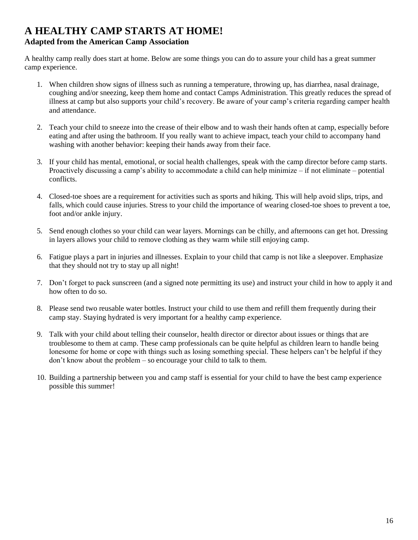# <span id="page-15-0"></span>**A HEALTHY CAMP STARTS AT HOME!**

#### **Adapted from the American Camp Association**

A healthy camp really does start at home. Below are some things you can do to assure your child has a great summer camp experience.

- 1. When children show signs of illness such as running a temperature, throwing up, has diarrhea, nasal drainage, coughing and/or sneezing, keep them home and contact Camps Administration. This greatly reduces the spread of illness at camp but also supports your child's recovery. Be aware of your camp's criteria regarding camper health and attendance.
- 2. Teach your child to sneeze into the crease of their elbow and to wash their hands often at camp, especially before eating and after using the bathroom. If you really want to achieve impact, teach your child to accompany hand washing with another behavior: keeping their hands away from their face.
- 3. If your child has mental, emotional, or social health challenges, speak with the camp director before camp starts. Proactively discussing a camp's ability to accommodate a child can help minimize – if not eliminate – potential conflicts.
- 4. Closed-toe shoes are a requirement for activities such as sports and hiking. This will help avoid slips, trips, and falls, which could cause injuries. Stress to your child the importance of wearing closed-toe shoes to prevent a toe, foot and/or ankle injury.
- 5. Send enough clothes so your child can wear layers. Mornings can be chilly, and afternoons can get hot. Dressing in layers allows your child to remove clothing as they warm while still enjoying camp.
- 6. Fatigue plays a part in injuries and illnesses. Explain to your child that camp is not like a sleepover. Emphasize that they should not try to stay up all night!
- 7. Don't forget to pack sunscreen (and a signed note permitting its use) and instruct your child in how to apply it and how often to do so.
- 8. Please send two reusable water bottles. Instruct your child to use them and refill them frequently during their camp stay. Staying hydrated is very important for a healthy camp experience.
- 9. Talk with your child about telling their counselor, health director or director about issues or things that are troublesome to them at camp. These camp professionals can be quite helpful as children learn to handle being lonesome for home or cope with things such as losing something special. These helpers can't be helpful if they don't know about the problem – so encourage your child to talk to them.
- 10. Building a partnership between you and camp staff is essential for your child to have the best camp experience possible this summer!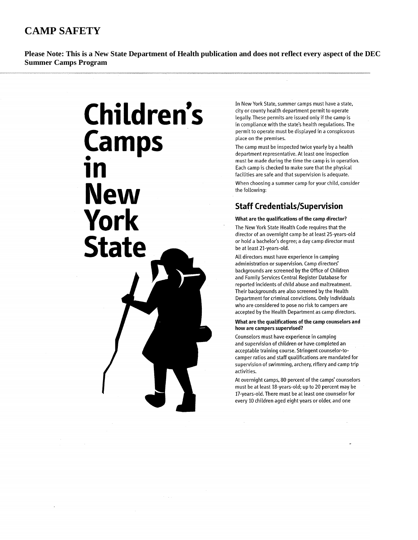# <span id="page-16-0"></span>**CAMP SAFETY**

**Please Note: This is a New State Department of Health publication and does not reflect every aspect of the DEC Summer Camps Program** 



In New York State, summer camps must have a state, city or county health department permit to operate legally. These permits are issued only if the camp is in compliance with the state's health regulations. The permit to operate must be displayed in a conspicuous place on the premises.

The camp must be inspected twice yearly by a health department representative. At least one inspection must be made during the time the camp is in operation. Each camp is checked to make sure that the physical facilities are safe and that supervision is adequate. When choosing a summer camp for your child, consider the following:

### **Staff Credentials/Supervision**

#### What are the qualifications of the camp director?

The New York State Health Code requires that the director of an overnight camp be at least 25-years-old or hold a bachelor's degree; a day camp director must be at least 21-years-old.

All directors must have experience in camping administration or supervision. Camp directors' backgrounds are screened by the Office of Children and Family Services Central Register Database for reported incidents of child abuse and maltreatment. Their backgrounds are also screened by the Health Department for criminal convictions. Only individuals who are considered to pose no risk to campers are accepted by the Health Department as camp directors.

#### What are the qualifications of the camp counselors and how are campers supervised?

Counselors must have experience in camping and supervision of children or have completed an acceptable training course. Stringent counselor-tocamper ratios and staff qualifications are mandated for supervision of swimming, archery, riflery and camp trip activities.

At overnight camps, 80 percent of the camps' counselors must be at least 18-years-old; up to 20 percent may be 17-years-old. There must be at least one counselor for every 10 children aged eight years or older, and one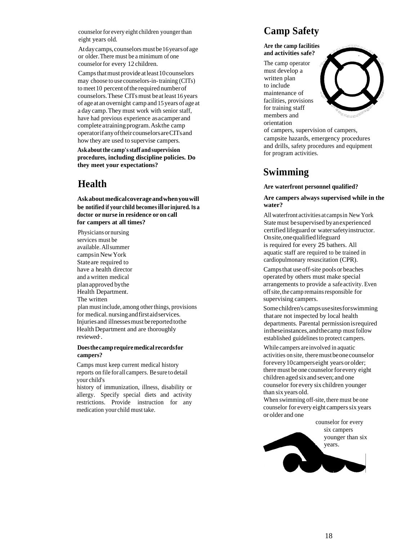counselor for every eight children younger than eight years old.

Atday camps, counselors must be 16 years of age or older.There must be a minimum of one counselor for every 12 children.

Camps that must provide at least 10 counselors may choose to use counselors-in-training (CITs) to meet 10 percent of the required number of counselors.These CITsmust beat least 16years of ageat an overnight camp and 15years of ageat a day camp.They must work with senior staff, have had previous experience asacamperand complete atraining program.Askthe camp operatorifanyoftheircounselorsareCITsand how they are used to supervise campers.

**Askaboutthe camp'sstaff and supervision procedures, including discipline policies. Do they meet your expectations?**

# <span id="page-17-0"></span>**Health**

**Askaboutmedicalcoverageandwhenyouwill be notified if your child becomesill or injured. Is a doctor or nurse in residence or on call for campers at all times?**

Physicians ornursing services must be available.Allsummer campsinNewYork Stateare required to have a health director and a written medical planapproved bythe Health Department. The written plan must include, among other things, provisions for medical. nursingandfirstaidservices. Injuries and illnessesmustbereportedtothe HealthDepartment and are thoroughly reviewed·.

#### **Doesthecamprequiremedical recordsfor campers?**

Camps must keep current medical history reports on file for all campers. Be sure to detail your child's

history of immunization, illness, disability or allergy. Specify special diets and activity restrictions. Provide instruction for any medication your child must take.

# <span id="page-17-1"></span>**Camp Safety**

**Are the camp facilities and activities safe?**

The camp operator must develop a written plan to include maintenance of facilities, provisions for training staff members and orientation



of campers, supervision of campers, campsite hazards, emergency procedures and drills, safety procedures and equipment for program activities.

## <span id="page-17-2"></span>**Swimming**

#### **Are waterfront personnel qualified?**

#### **Are campers always supervised while in the water?**

All waterfront activities at campsin NewYork Statemust besupervised byanexperienced certified lifeguard or watersafetyinstructor. Onsite,onequalifiedlifeguard is required for every 25 bathers. All aquatic staff are required to be trained in cardiopulmonary resuscitation (CPR).

Campsthat useoff-site poolsor beaches operated by others must make special arrangements to provide a safe activity. Even off site, the camp remains responsible for supervising campers.

Somechildren's campsusesitesforswimming thatare not inspected by local health departments. Parental permissionisrequired intheseinstances,andthecamp mustfollow established guidelines to protect campers.

While campers are involved in aquatic activities on site, theremustbeonecounselor forevery10camperseight yearsorolder; there must be one counsel or forevery eight children aged sixand seven; and one counselor for every six children younger than six years old.

When swimming off-site, there must be one counselor for every eight campers six years or older and one

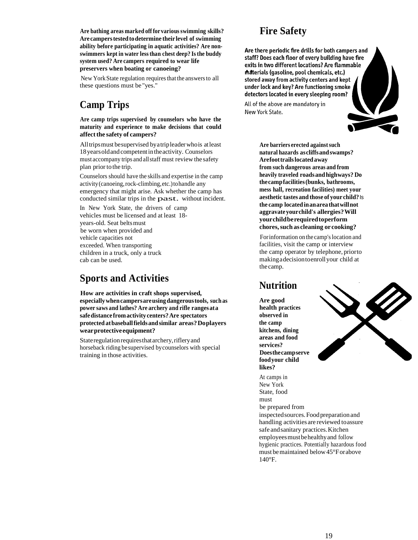**Are bathing areas marked off for variousswimming skills? Are camperstestedtodetermine their level of swimming ability before participating in aquatic activities? Are nonswimmers kept in water lessthan chest deep? Isthe buddy system used? Are campers required to wear life preservers when boating or canoeing?**

New York State regulation requires that the answers to all these questions must be "yes."

# <span id="page-18-0"></span>**Camp Trips**

**Are camp trips supervised by counselors who have the maturity and experience to make decisions that could affectthe safety of campers?**

Alltripsmust besupervised byatripleaderwhois atleast 18yearsoldand competentintheactivity. Counselors must accompany trips and allstaff must review the safety plan prior to the trip.

Counselors should have the skills and expertise in the camp activity(canoeing,rock-climbing,etc.)tohandle any emergency that might arise. Ask whether the camp has conducted similar trips in the past. without incident.

In New York State, the drivers of camp vehicles must be licensed and at least 18 years-old. Seat beltsmust be worn when provided and vehicle capacities not exceeded. When transporting children in a truck, only a truck cab can be used.

# <span id="page-18-1"></span>**Sports and Activities**

**How are activities in craft shops supervised, especiallywhencampersareusingdangeroustools, such as power saws and lathes? Are archery and rifle rangesata safedistance fromactivitycenters?Are spectators protected atbaseballfieldsandsimilar areas?Doplayers wearprotectiveequipment?**

State regulation requires that archery, riflery and horseback riding besupervised bycounselors with special training in those activities.

# **Fire Safety**

<span id="page-18-2"></span>Are there periodic fire drills for both campers and staff? Does each floor of every building have fire exits in two different locations? Are flammable materials (gasoline, pool chemicals, etc.) stored away from activity centers and kept under lock and key? Are functioning smoke detectors located in every sleeping room?

All of the above are mandatory in New York State.

> **Are barriers erected againstsuch natural hazards ascliffsandswamps? Arefoottrailslocatedaway from such dangerous areas and from heavily traveled roadsandhighways? Do thecampfacilities(bunks, bathrooms, mess hall, recreation facilities) meet your aesthetic tastes and those of your child?**Is **the camp locatedinanareathatwillnot aggravateyourchild's allergies?Will yourchildberequiredtoperform chores,such ascleaning orcooking?**

Forinformation onthe camp'slocation and facilities, visit the camp or interview the camp operator by telephone, priorto makingadecisiontoenrollyour child at the camp.

## <span id="page-18-3"></span>**Nutrition**

**Are good health practices observed in the camp kitchens, dining areas and food services? Doesthecampserve foodyour child likes?**

At camps in New York State, food must be prepared from inspectedsources.Foodpreparationand handling activities are reviewed toassure safe andsanitary practices.Kitchen employeesmustbehealthyand follow hygienic practices. Potentially hazardous food must bemaintained below45°Forabove 140°F.